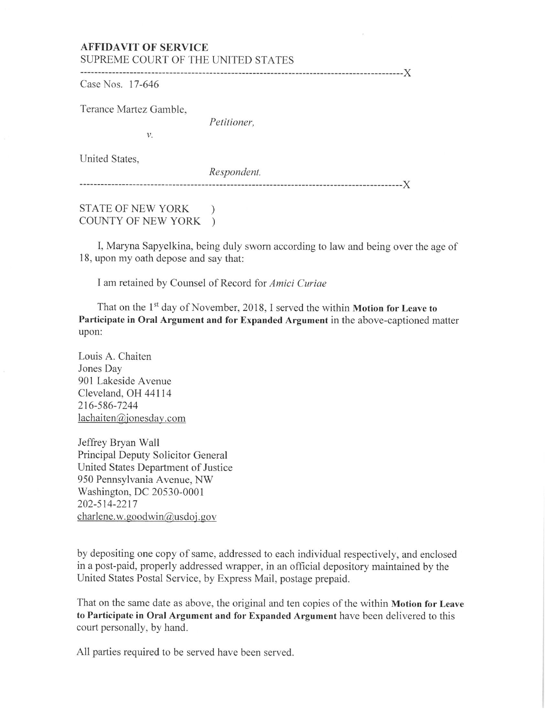## AFFIDAVIT OF SERVICE SUPREME COURT OF THE UNITED STATES

------------------------------------------------------------------------------------------)( Case Nos. 17-646

Terance Martez Gamble,

*Petitioner,* 

United States,

*Respondent.* 

------------------------------------------------------------------------------------------)(

## STATE OF NEW YORK ) COUNTY OF NEW YORK )

*v.* 

I, Maryna Sapyelkina, being duly sworn according to law and being over the age of 18, upon my oath depose and say that:

I am retained by Counsel of Record for *Amici Curiae* 

That on the 1<sup>st</sup> day of November, 2018, I served the within Motion for Leave to Participate in Oral Argument and for Expanded Argument in the above-captioned matter upon:

Louis A. Chaiten Jones Day 901 Lakeside Avenue Cleveland, OH 44114 216-586-7244  $lachaiten@jonesday.com$ 

Jeffrey Bryan Wall Principal Deputy Solicitor General United States Department of Justice 950 Pennsylvania Avenue, NW Washington, DC 20530-0001 202-514-2217 charlene.w.goodwin@usdoj.gov

by depositing one copy of same, addressed to each individual respectively, and enclosed in a post-paid, properly addressed wrapper, in an official depository maintained by the United States Postal Service, by Express Mail, postage prepaid.

That on the same date as above, the original and ten copies of the within Motion for Leave to Participate in Oral Argument and for Expanded Argument have been delivered to this court personally, by hand.

All parties required to be served have been served.